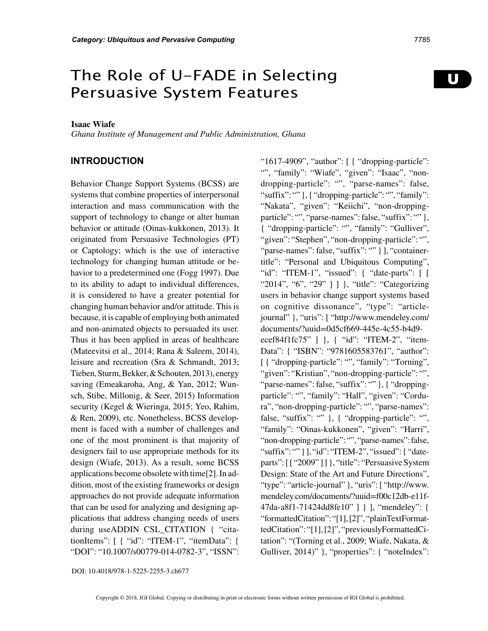# The Role of U-FADE in Selecting Persuasive System Features

#### **Isaac Wiafe**

*Ghana Institute of Management and Public Administration, Ghana*

## **INTRODUCTION**

Behavior Change Support Systems (BCSS) are systems that combine properties of interpersonal interaction and mass communication with the support of technology to change or alter human behavior or attitude (Oinas-kukkonen, 2013). It originated from Persuasive Technologies (PT) or Captology; which is the use of interactive technology for changing human attitude or behavior to a predetermined one (Fogg 1997). Due to its ability to adapt to individual differences, it is considered to have a greater potential for changing human behavior and/or attitude. This is because, it is capable of employing both animated and non-animated objects to persuaded its user. Thus it has been applied in areas of healthcare (Mateevitsi et al., 2014; Rana & Saleem, 2014), leisure and recreation (Sra & Schmandt, 2013; Tieben, Sturm, Bekker, & Schouten, 2013), energy saving (Emeakaroha, Ang, & Yan, 2012; Wunsch, Stibe, Millonig, & Seer, 2015) Information security (Kegel & Wieringa, 2015; Yeo, Rahim, & Ren, 2009), etc. Nonetheless, BCSS development is faced with a number of challenges and one of the most prominent is that majority of designers fail to use appropriate methods for its design (Wiafe, 2013). As a result, some BCSS applications become obsolete with time[2]. In addition, most of the existing frameworks or design approaches do not provide adequate information that can be used for analyzing and designing applications that address changing needs of users during useADDIN CSL\_CITATION { "citationItems": [ { "id": "ITEM-1", "itemData": { "DOI": "10.1007/s00779-014-0782-3", "ISSN":

"1617-4909", "author": [ { "dropping-particle": "", "family": "Wiafe", "given": "Isaac", "nondropping-particle": "", "parse-names": false, "suffix": "" }, { "dropping-particle": "", "family": "Nakata", "given": "Keiichi", "non-droppingparticle": "", "parse-names": false, "suffix": "" }, { "dropping-particle": "", "family": "Gulliver", "given": "Stephen", "non-dropping-particle": "", "parse-names": false, "suffix": "" } ], "containertitle": "Personal and Ubiquitous Computing", "id": "ITEM-1", "issued": { "date-parts": [ [ "2014", "6", "29" ] ] }, "title": "Categorizing users in behavior change support systems based on cognitive dissonance", "type": "articlejournal" }, "uris": [ "http://www.mendeley.com/ documents/?uuid=0d5cf669-445e-4c55-b4d9 ecef84f1fc75" ] }, { "id": "ITEM-2", "item-Data": { "ISBN": "9781605583761", "author": [ { "dropping-particle": "", "family": "Torning", "given": "Kristian", "non-dropping-particle": "", "parse-names": false, "suffix": "" }, { "droppingparticle": "", "family": "Hall", "given": "Cordura", "non-dropping-particle": "", "parse-names": false, "suffix": "" }, { "dropping-particle": "", "family": "Oinas-kukkonen", "given": "Harri", "non-dropping-particle": "", "parse-names": false, "suffix": "" } ], "id": "ITEM-2", "issued": { "dateparts": [ [ "2009" ] ] }, "title": "Persuasive System Design: State of the Art and Future Directions", "type": "article-journal" }, "uris": [ "http://www. mendeley.com/documents/?uuid=f00c12db-e11f-47da-a8f1-71424dd8fe10" ] } ], "mendeley": { "formattedCitation": "[1], [2]", "plainTextFormattedCitation": "[1], [2]", "previouslyFormattedCitation": "(Torning et al., 2009; Wiafe, Nakata, & Gulliver, 2014)" }, "properties": { "noteIndex":

DOI: 10.4018/978-1-5225-2255-3.ch677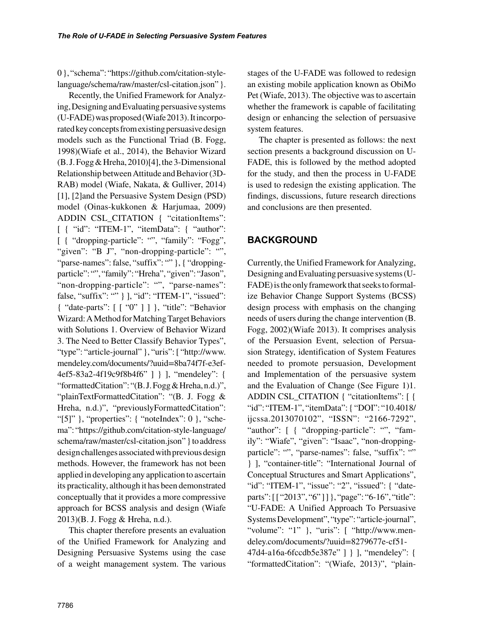0 }, "schema": "https://github.com/citation-stylelanguage/schema/raw/master/csl-citation.json" }.

Recently, the Unified Framework for Analyzing, Designing and Evaluating persuasive systems (U-FADE) was proposed (Wiafe 2013). It incorporated key concepts from existing persuasive design models such as the Functional Triad (B. Fogg, 1998)(Wiafe et al., 2014), the Behavior Wizard (B. J. Fogg & Hreha, 2010)[4], the 3-Dimensional Relationship between Attitude and Behavior (3D-RAB) model (Wiafe, Nakata, & Gulliver, 2014) [1], [2]and the Persuasive System Design (PSD) model (Oinas-kukkonen & Harjumaa, 2009) ADDIN CSL\_CITATION { "citationItems": [ { "id": "ITEM-1", "itemData": { "author": [ { "dropping-particle": "", "family": "Fogg", "given": "B J", "non-dropping-particle": "", "parse-names": false, "suffix": "" }, { "droppingparticle": "", "family": "Hreha", "given": "Jason", "non-dropping-particle": "", "parse-names": false, "suffix": "" } ], "id": "ITEM-1", "issued": { "date-parts": [ [ "0" ] ] }, "title": "Behavior Wizard: A Method for Matching Target Behaviors with Solutions 1. Overview of Behavior Wizard 3. The Need to Better Classify Behavior Types", "type": "article-journal" }, "uris": [ "http://www. mendeley.com/documents/?uuid=8ba74f7f-e3ef-4ef5-83a2-4f19c9f8b4f6" ] } ], "mendeley": { "formattedCitation": "(B. J. Fogg & Hreha, n.d.)", "plainTextFormattedCitation": "(B. J. Fogg & Hreha, n.d.)", "previouslyFormattedCitation": "[5]" }, "properties": { "noteIndex":  $0$  }, "schema": "https://github.com/citation-style-language/ schema/raw/master/csl-citation.json" } to address design challenges associated with previous design methods. However, the framework has not been applied in developing any application to ascertain its practicality, although it has been demonstrated conceptually that it provides a more compressive approach for BCSS analysis and design (Wiafe 2013)(B. J. Fogg & Hreha, n.d.).

This chapter therefore presents an evaluation of the Unified Framework for Analyzing and Designing Persuasive Systems using the case of a weight management system. The various

stages of the U-FADE was followed to redesign an existing mobile application known as ObiMo Pet (Wiafe, 2013). The objective was to ascertain whether the framework is capable of facilitating design or enhancing the selection of persuasive system features.

The chapter is presented as follows: the next section presents a background discussion on U-FADE, this is followed by the method adopted for the study, and then the process in U-FADE is used to redesign the existing application. The findings, discussions, future research directions and conclusions are then presented.

# **BACKGROUND**

Currently, the Unified Framework for Analyzing, Designing and Evaluating persuasive systems (U-FADE) is the only framework that seeks to formalize Behavior Change Support Systems (BCSS) design process with emphasis on the changing needs of users during the change intervention (B. Fogg, 2002)(Wiafe 2013). It comprises analysis of the Persuasion Event, selection of Persuasion Strategy, identification of System Features needed to promote persuasion, Development and Implementation of the persuasive system and the Evaluation of Change (See Figure 1)1. ADDIN CSL\_CITATION { "citationItems": [ { "id": "ITEM-1", "itemData": { "DOI": "10.4018/ ijcssa.2013070102", "ISSN": "2166-7292", "author": [ { "dropping-particle": "", "family": "Wiafe", "given": "Isaac", "non-droppingparticle": "", "parse-names": false, "suffix": "" } ], "container-title": "International Journal of Conceptual Structures and Smart Applications", "id": "ITEM-1", "issue": "2", "issued": { "dateparts": [ [ "2013", "6"]] }, "page": "6-16", "title": "U-FADE: A Unified Approach To Persuasive Systems Development", "type": "article-journal", "volume": "1" }, "uris":  $\lceil$  "http://www.mendeley.com/documents/?uuid=8279677e-cf51- 47d4-a16a-6fccdb5e387e" ] } ], "mendeley": { "formattedCitation": "(Wiafe, 2013)", "plain